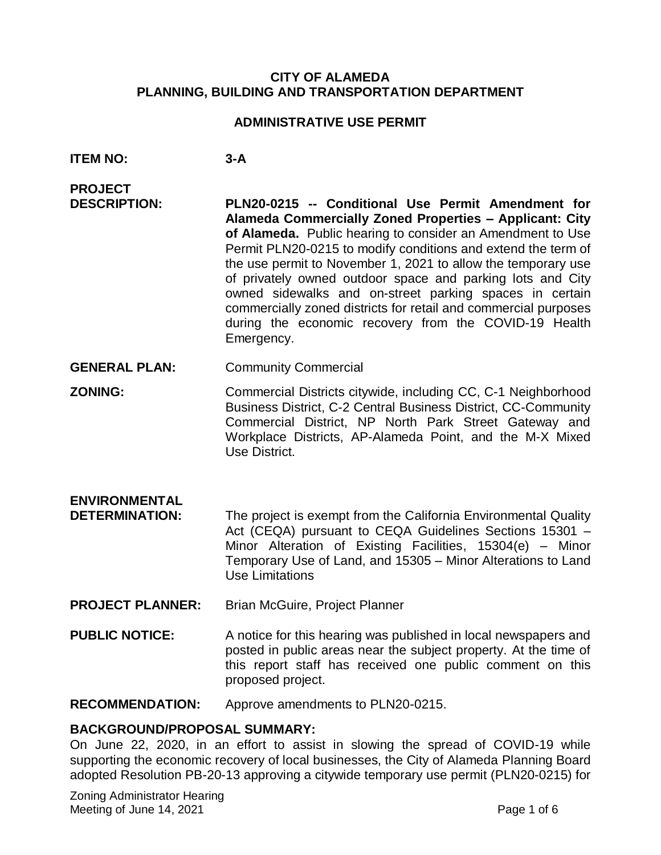#### **CITY OF ALAMEDA PLANNING, BUILDING AND TRANSPORTATION DEPARTMENT**

#### **ADMINISTRATIVE USE PERMIT**

- **ITEM NO: 3-A**
- **PROJECT DESCRIPTION: PLN20-0215 -- Conditional Use Permit Amendment for Alameda Commercially Zoned Properties – Applicant: City of Alameda.** Public hearing to consider an Amendment to Use Permit PLN20-0215 to modify conditions and extend the term of the use permit to November 1, 2021 to allow the temporary use of privately owned outdoor space and parking lots and City owned sidewalks and on-street parking spaces in certain commercially zoned districts for retail and commercial purposes during the economic recovery from the COVID-19 Health Emergency.
- **GENERAL PLAN:** Community Commercial
- **ZONING:** Commercial Districts citywide, including CC, C-1 Neighborhood Business District, C-2 Central Business District, CC-Community Commercial District, NP North Park Street Gateway and Workplace Districts, AP-Alameda Point, and the M-X Mixed Use District.
- **ENVIRONMENTAL DETERMINATION:** The project is exempt from the California Environmental Quality Act (CEQA) pursuant to CEQA Guidelines Sections 15301 – Minor Alteration of Existing Facilities, 15304(e) – Minor Temporary Use of Land, and 15305 – Minor Alterations to Land Use Limitations
- **PROJECT PLANNER:** Brian McGuire, Project Planner
- **PUBLIC NOTICE:** A notice for this hearing was published in local newspapers and posted in public areas near the subject property. At the time of this report staff has received one public comment on this proposed project.

**RECOMMENDATION:** Approve amendments to PLN20-0215.

#### **BACKGROUND/PROPOSAL SUMMARY:**

On June 22, 2020, in an effort to assist in slowing the spread of COVID-19 while supporting the economic recovery of local businesses, the City of Alameda Planning Board adopted Resolution PB-20-13 approving a citywide temporary use permit (PLN20-0215) for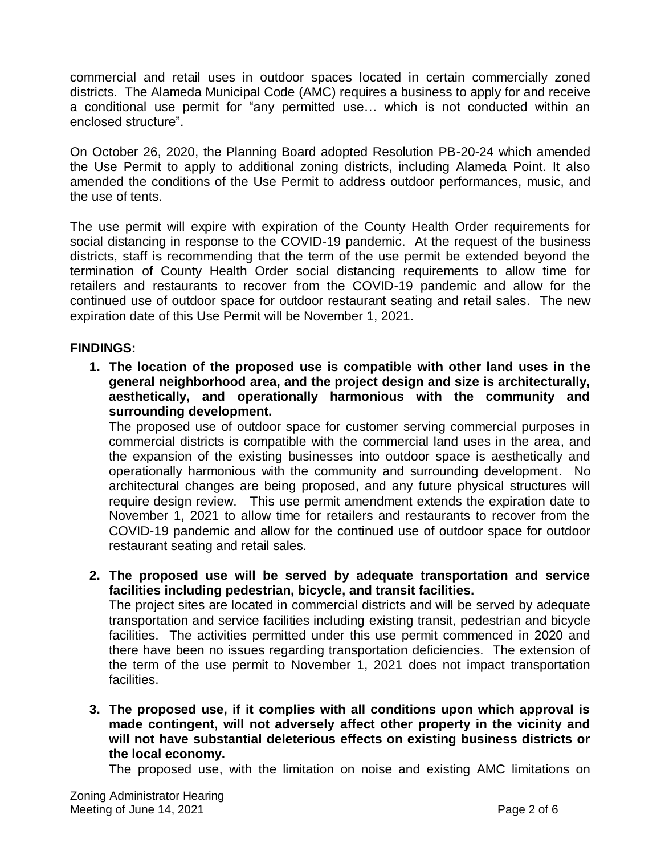commercial and retail uses in outdoor spaces located in certain commercially zoned districts. The Alameda Municipal Code (AMC) requires a business to apply for and receive a conditional use permit for "any permitted use… which is not conducted within an enclosed structure".

On October 26, 2020, the Planning Board adopted Resolution PB-20-24 which amended the Use Permit to apply to additional zoning districts, including Alameda Point. It also amended the conditions of the Use Permit to address outdoor performances, music, and the use of tents.

The use permit will expire with expiration of the County Health Order requirements for social distancing in response to the COVID-19 pandemic. At the request of the business districts, staff is recommending that the term of the use permit be extended beyond the termination of County Health Order social distancing requirements to allow time for retailers and restaurants to recover from the COVID-19 pandemic and allow for the continued use of outdoor space for outdoor restaurant seating and retail sales. The new expiration date of this Use Permit will be November 1, 2021.

## **FINDINGS:**

**1. The location of the proposed use is compatible with other land uses in the general neighborhood area, and the project design and size is architecturally, aesthetically, and operationally harmonious with the community and surrounding development.**

The proposed use of outdoor space for customer serving commercial purposes in commercial districts is compatible with the commercial land uses in the area, and the expansion of the existing businesses into outdoor space is aesthetically and operationally harmonious with the community and surrounding development. No architectural changes are being proposed, and any future physical structures will require design review. This use permit amendment extends the expiration date to November 1, 2021 to allow time for retailers and restaurants to recover from the COVID-19 pandemic and allow for the continued use of outdoor space for outdoor restaurant seating and retail sales.

- **2. The proposed use will be served by adequate transportation and service facilities including pedestrian, bicycle, and transit facilities.** The project sites are located in commercial districts and will be served by adequate transportation and service facilities including existing transit, pedestrian and bicycle facilities. The activities permitted under this use permit commenced in 2020 and there have been no issues regarding transportation deficiencies. The extension of the term of the use permit to November 1, 2021 does not impact transportation facilities.
- **3. The proposed use, if it complies with all conditions upon which approval is made contingent, will not adversely affect other property in the vicinity and will not have substantial deleterious effects on existing business districts or the local economy.**

The proposed use, with the limitation on noise and existing AMC limitations on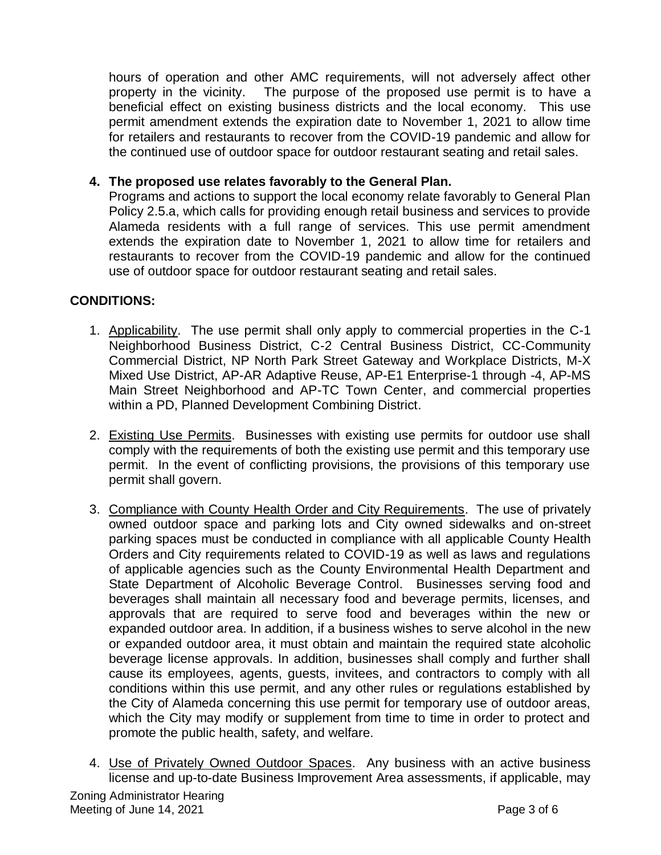hours of operation and other AMC requirements, will not adversely affect other property in the vicinity. The purpose of the proposed use permit is to have a beneficial effect on existing business districts and the local economy. This use permit amendment extends the expiration date to November 1, 2021 to allow time for retailers and restaurants to recover from the COVID-19 pandemic and allow for the continued use of outdoor space for outdoor restaurant seating and retail sales.

## **4. The proposed use relates favorably to the General Plan.**

Programs and actions to support the local economy relate favorably to General Plan Policy 2.5.a, which calls for providing enough retail business and services to provide Alameda residents with a full range of services. This use permit amendment extends the expiration date to November 1, 2021 to allow time for retailers and restaurants to recover from the COVID-19 pandemic and allow for the continued use of outdoor space for outdoor restaurant seating and retail sales.

# **CONDITIONS:**

- 1. Applicability. The use permit shall only apply to commercial properties in the C-1 Neighborhood Business District, C-2 Central Business District, CC-Community Commercial District, NP North Park Street Gateway and Workplace Districts, M-X Mixed Use District, AP-AR Adaptive Reuse, AP-E1 Enterprise-1 through -4, AP-MS Main Street Neighborhood and AP-TC Town Center, and commercial properties within a PD, Planned Development Combining District.
- 2. Existing Use Permits. Businesses with existing use permits for outdoor use shall comply with the requirements of both the existing use permit and this temporary use permit. In the event of conflicting provisions, the provisions of this temporary use permit shall govern.
- 3. Compliance with County Health Order and City Requirements. The use of privately owned outdoor space and parking lots and City owned sidewalks and on-street parking spaces must be conducted in compliance with all applicable County Health Orders and City requirements related to COVID-19 as well as laws and regulations of applicable agencies such as the County Environmental Health Department and State Department of Alcoholic Beverage Control. Businesses serving food and beverages shall maintain all necessary food and beverage permits, licenses, and approvals that are required to serve food and beverages within the new or expanded outdoor area. In addition, if a business wishes to serve alcohol in the new or expanded outdoor area, it must obtain and maintain the required state alcoholic beverage license approvals. In addition, businesses shall comply and further shall cause its employees, agents, guests, invitees, and contractors to comply with all conditions within this use permit, and any other rules or regulations established by the City of Alameda concerning this use permit for temporary use of outdoor areas, which the City may modify or supplement from time to time in order to protect and promote the public health, safety, and welfare.
- Zoning Administrator Hearing Meeting of June 14, 2021 **Page 3 of 6** 4. Use of Privately Owned Outdoor Spaces. Any business with an active business license and up-to-date Business Improvement Area assessments, if applicable, may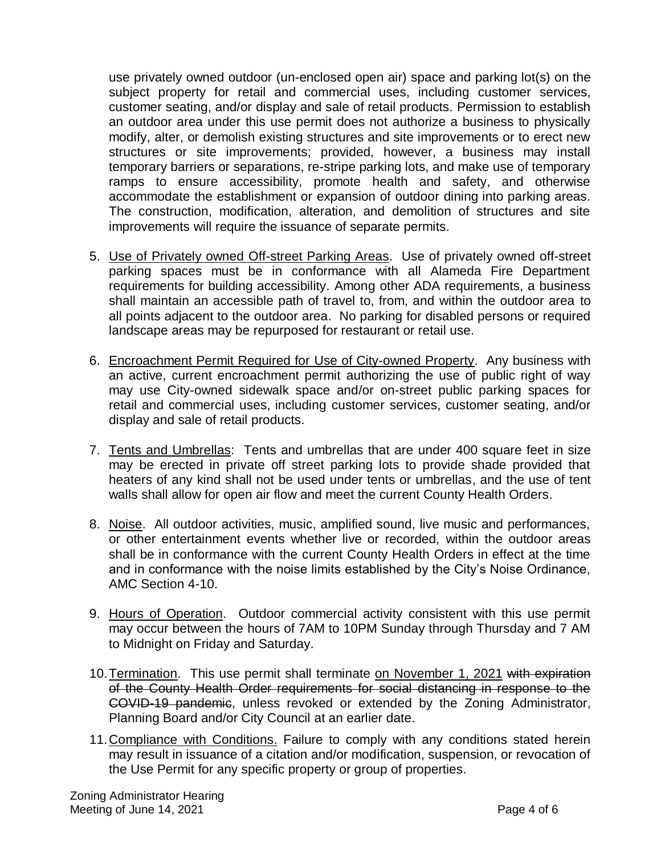use privately owned outdoor (un-enclosed open air) space and parking lot(s) on the subject property for retail and commercial uses, including customer services, customer seating, and/or display and sale of retail products. Permission to establish an outdoor area under this use permit does not authorize a business to physically modify, alter, or demolish existing structures and site improvements or to erect new structures or site improvements; provided, however, a business may install temporary barriers or separations, re-stripe parking lots, and make use of temporary ramps to ensure accessibility, promote health and safety, and otherwise accommodate the establishment or expansion of outdoor dining into parking areas. The construction, modification, alteration, and demolition of structures and site improvements will require the issuance of separate permits.

- 5. Use of Privately owned Off-street Parking Areas. Use of privately owned off-street parking spaces must be in conformance with all Alameda Fire Department requirements for building accessibility. Among other ADA requirements, a business shall maintain an accessible path of travel to, from, and within the outdoor area to all points adjacent to the outdoor area. No parking for disabled persons or required landscape areas may be repurposed for restaurant or retail use.
- 6. Encroachment Permit Required for Use of City-owned Property. Any business with an active, current encroachment permit authorizing the use of public right of way may use City-owned sidewalk space and/or on-street public parking spaces for retail and commercial uses, including customer services, customer seating, and/or display and sale of retail products.
- 7. Tents and Umbrellas: Tents and umbrellas that are under 400 square feet in size may be erected in private off street parking lots to provide shade provided that heaters of any kind shall not be used under tents or umbrellas, and the use of tent walls shall allow for open air flow and meet the current County Health Orders.
- 8. Noise. All outdoor activities, music, amplified sound, live music and performances, or other entertainment events whether live or recorded, within the outdoor areas shall be in conformance with the current County Health Orders in effect at the time and in conformance with the noise limits established by the City's Noise Ordinance, AMC Section 4-10.
- 9. Hours of Operation. Outdoor commercial activity consistent with this use permit may occur between the hours of 7AM to 10PM Sunday through Thursday and 7 AM to Midnight on Friday and Saturday.
- 10. Termination. This use permit shall terminate on November 1, 2021 with expiration of the County Health Order requirements for social distancing in response to the COVID-19 pandemic, unless revoked or extended by the Zoning Administrator, Planning Board and/or City Council at an earlier date.
- 11.Compliance with Conditions. Failure to comply with any conditions stated herein may result in issuance of a citation and/or modification, suspension, or revocation of the Use Permit for any specific property or group of properties.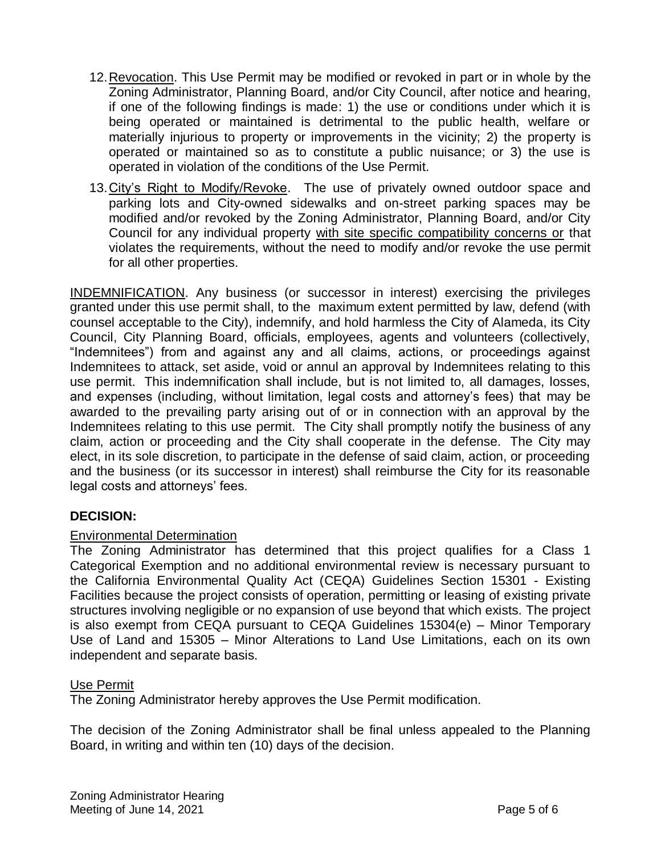- 12.Revocation. This Use Permit may be modified or revoked in part or in whole by the Zoning Administrator, Planning Board, and/or City Council, after notice and hearing, if one of the following findings is made: 1) the use or conditions under which it is being operated or maintained is detrimental to the public health, welfare or materially injurious to property or improvements in the vicinity; 2) the property is operated or maintained so as to constitute a public nuisance; or 3) the use is operated in violation of the conditions of the Use Permit.
- 13. City's Right to Modify/Revoke. The use of privately owned outdoor space and parking lots and City-owned sidewalks and on-street parking spaces may be modified and/or revoked by the Zoning Administrator, Planning Board, and/or City Council for any individual property with site specific compatibility concerns or that violates the requirements, without the need to modify and/or revoke the use permit for all other properties.

INDEMNIFICATION. Any business (or successor in interest) exercising the privileges granted under this use permit shall, to the maximum extent permitted by law, defend (with counsel acceptable to the City), indemnify, and hold harmless the City of Alameda, its City Council, City Planning Board, officials, employees, agents and volunteers (collectively, "Indemnitees") from and against any and all claims, actions, or proceedings against Indemnitees to attack, set aside, void or annul an approval by Indemnitees relating to this use permit. This indemnification shall include, but is not limited to, all damages, losses, and expenses (including, without limitation, legal costs and attorney's fees) that may be awarded to the prevailing party arising out of or in connection with an approval by the Indemnitees relating to this use permit. The City shall promptly notify the business of any claim, action or proceeding and the City shall cooperate in the defense. The City may elect, in its sole discretion, to participate in the defense of said claim, action, or proceeding and the business (or its successor in interest) shall reimburse the City for its reasonable legal costs and attorneys' fees.

## **DECISION:**

### Environmental Determination

The Zoning Administrator has determined that this project qualifies for a Class 1 Categorical Exemption and no additional environmental review is necessary pursuant to the California Environmental Quality Act (CEQA) Guidelines Section 15301 - Existing Facilities because the project consists of operation, permitting or leasing of existing private structures involving negligible or no expansion of use beyond that which exists. The project is also exempt from CEQA pursuant to CEQA Guidelines 15304(e) – Minor Temporary Use of Land and 15305 – Minor Alterations to Land Use Limitations, each on its own independent and separate basis.

### Use Permit

The Zoning Administrator hereby approves the Use Permit modification.

The decision of the Zoning Administrator shall be final unless appealed to the Planning Board, in writing and within ten (10) days of the decision.